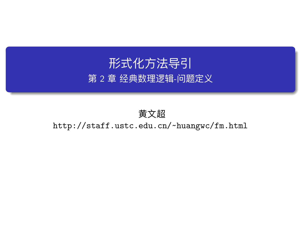形式化方法导引 第 2 章 经典数理逻辑-问题定义

黄文超 http://staff.ustc.edu.cn/~huangwc/fm.html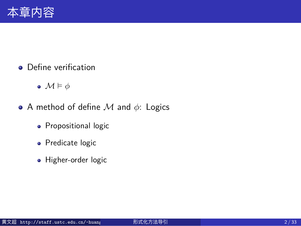#### 本章内容

- **·** Define verification
	- *M* ⊨ *ϕ*
- A method of define *M* and *ϕ*: Logics
	- Propositional logic
	- Predicate logic
	- · Higher-order logic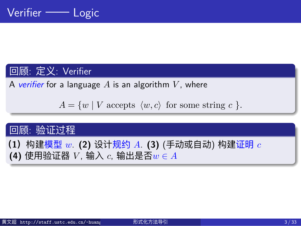#### Verifier —— Logic

#### 回顾: 定义: Verifier

A *verifier* for a language *A* is an algorithm *V* , where

 $A = \{w \mid V \text{ accepts } \langle w, c \rangle \text{ for some string } c \}.$ 

#### 回顾: 验证过程

- **(1)**构建模型 *w*. **(2)** 设计规约 *A*. **(3)** (手动或自动) 构建证明 *c*
- **(4)** 使用验证器 *V* , 输入 *c*, 输出是否*w ∈ A*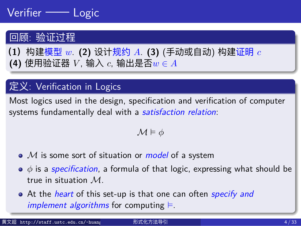#### Verifier —— Logic

#### 回顾: 验证过程

- **(1)**构建模型 *w*. **(2)** 设计规约 *A*. **(3)** (手动或自动) 构建证明 *c*
- **(4)** 使用验证器 *V* , 输入 *c*, 输出是否*w ∈ A*

#### 定义: Verification in Logics

Most logics used in the design, specification and verification of computer systems fundamentally deal with a *satisfaction relation*:

*M* ⊨ *ϕ*

- *M* is some sort of situation or *model* of a system
- *ϕ* is a *specification*, a formula of that logic, expressing what should be true in situation *M*.
- At the *heart* of this set-up is that one can often *specify and implement algorithms* for computing ⊨.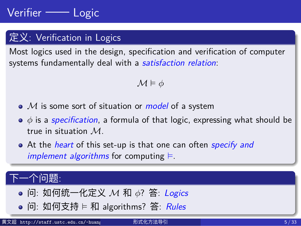#### Verifier —— Logic

#### 定义: Verification in Logics

Most logics used in the design, specification and verification of computer systems fundamentally deal with a *satisfaction relation*:

#### $\mathcal{M} \models \phi$

- *M* is some sort of situation or *model* of a system
- *ϕ* is a *specification*, a formula of that logic, expressing what should be true in situation *M*.
- At the *heart* of this set-up is that one can often *specify and implement algorithms* for computing ⊨.

#### 下一个问题:

- 问: 如何统一化定义 *M* 和 *ϕ*? 答: *Logics*
- 问: 如何支持 ⊨ 和 algorithms? 答: *Rules*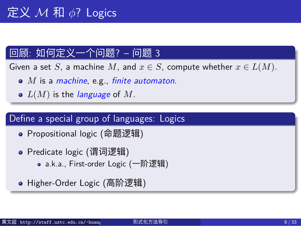#### 回顾: 如何定义一个问题? – 问题 3

Given a set *S*, a machine *M*, and  $x \in S$ , compute whether  $x \in L(M)$ .

- *M* is a *machine*, e.g., *finite automaton*.
- *L*(*M*) is the *language* of *M*.

#### Define a special group of languages: Logics

- Propositional logic (命题逻辑)
- Predicate logic (谓词逻辑)
	- a.k.a., First-order Logic (一阶逻辑)
- Higher-Order Logic (高阶逻辑)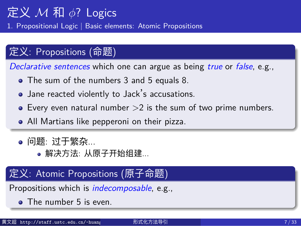1. Propositional Logic *|* Basic elements: Atomic Propositions

#### 定义: Propositions (命题)

*Declarative sentences* which one can argue as being *true* or *false*, e.g.,

- The sum of the numbers 3 and 5 equals 8.
- Jane reacted violently to Jack's accusations.
- $\bullet$  Every even natural number  $>2$  is the sum of two prime numbers.
- All Martians like pepperoni on their pizza.
- 问题: 过于繁杂...
	- 解决方法: 从原子开始组建...

#### 定义: Atomic Propositions (原子命题)

Propositions which is *indecomposable*, e.g.,

• The number 5 is even.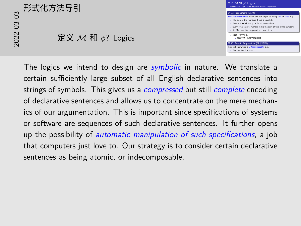# 20<br>2012<br>2022<br>2020<br>2020<br>2020 定义 *M* 和 *ϕ*? Logics



The logics we intend to design are *symbolic* in nature. We translate a certain sufficiently large subset of all English declarative sentences into strings of symbols. This gives us a *compressed* but still *complete* encoding of declarative sentences and allows us to concentrate on the mere mechanics of our argumentation. This is important since specifications of systems or software are sequences of such declarative sentences. It further opens up the possibility of *automatic manipulation of such specifications*, a job that computers just love to. Our strategy is to consider certain declarative sentences as being atomic, or indecomposable.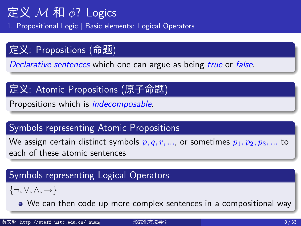1. Propositional Logic *|* Basic elements: Logical Operators

#### 定义: Propositions (命题)

*Declarative sentences* which one can argue as being *true* or *false*.

#### 定义: Atomic Propositions (原子命题)

Propositions which is *indecomposable*.

#### Symbols representing Atomic Propositions

We assign certain distinct symbols  $p, q, r, ...$ , or sometimes  $p_1, p_2, p_3, ...$  to each of these atomic sentences

#### Symbols representing Logical Operators

*{¬, ∨, ∧, →}*

We can then code up more complex sentences in a compositional way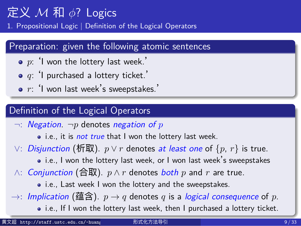1. Propositional Logic *|* Definition of the Logical Operators

| Preparation: given the following atomic sentences                                          |
|--------------------------------------------------------------------------------------------|
| $\bullet$ p: 'I won the lottery last week.'                                                |
| $\bullet$ q: 'I purchased a lottery ticket.'                                               |
| $\bullet$ r: 'I won last week's sweepstakes.'                                              |
| Definition of the Logical Operators                                                        |
| $\lnot$ : <i>Negation</i> . $\neg p$ denotes <i>negation of</i> p                          |
| • i.e., it is <i>not true</i> that I won the lottery last week.                            |
| $\vee$ : <i>Disjunction</i> (析取). $p \vee r$ denotes at least one of $\{p, r\}$ is true.   |
| • i.e., I won the lottery last week, or I won last week's sweepstakes                      |
| $\wedge$ : <i>Conjunction</i> (合取). $p \wedge r$ denotes <i>both</i> $p$ and $r$ are true. |
| • i.e., Last week I won the lottery and the sweepstakes.                                   |
| →: Implication (蕴含). $p \rightarrow q$ denotes q is a logical consequence of p.            |
| • i.e., If I won the lottery last week, then I purchased a lottery ticket.                 |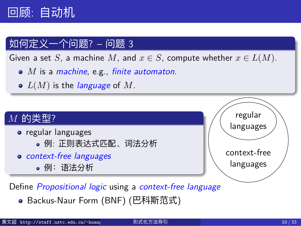#### 回顾: 自动机

#### 如何定义一个问题? – 问题 3

Given a set *S*, a machine *M*, and  $x \in S$ , compute whether  $x \in L(M)$ .

- *M* is a *machine*, e.g., *finite automaton*.
- *L*(*M*) is the *language* of *M*.



Define *Propositional logic* using a *context-free language*

● Backus-Naur Form (BNF) (巴科斯范式)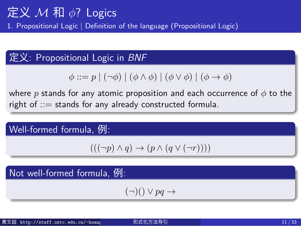1. Propositional Logic *|* Definition of the language (Propositional Logic)

#### 定义: Propositional Logic in *BNF*

 $\phi ::= p \mid (\neg \phi) \mid (\phi \land \phi) \mid (\phi \lor \phi) \mid (\phi \to \phi)$ 

where *p* stands for any atomic proposition and each occurrence of *ϕ* to the right of ::= stands for any already constructed formula.

Well-formed formula, 例:

 $(( (\neg p) \land q) \rightarrow (p \land (q \lor (\neg r))))$ 

Not well-formed formula, 例:

(*¬*)() *∨ pq →*

黄文超 http://staff.ustc.edu.cn/~huangwc/fm.html 形式化方法导引 11 / 33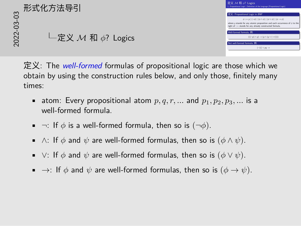# Not well-formed formula, <sup>例</sup>: 2022-03-03 定义 *M* 和 *ϕ*? Logics 形式化方法导引



定义: The *well-formed* formulas of propositional logic are those which we obtain by using the construction rules below, and only those, finitely many times:

- atom: Every propositional atom  $p, q, r, ...$  and  $p_1, p_2, p_3, ...$  is a well-formed formula.
- *¬*: If *ϕ* is a well-formed formula, then so is (*¬ϕ*).
- *∧*: If *ϕ* and *ψ* are well-formed formulas, then so is (*ϕ ∧ ψ*).
- *∨*: If *ϕ* and *ψ* are well-formed formulas, then so is (*ϕ ∨ ψ*).
- **•** →: If  $\phi$  and  $\psi$  are well-formed formulas, then so is  $(\phi \rightarrow \psi)$ .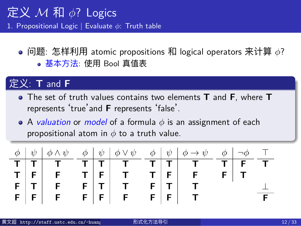1. Propositional Logic *|* Evaluate *ϕ*: Truth table

问题: 怎样利用 atomic propositions 和 logical operators 来计算 *ϕ*? 基本方法: 使用 Bool 真值表

#### 定义: **T** and **F**

- The set of truth values contains two elements **T** and **F**, where **T** represents 'true'and **F** represents 'false'.
- A *valuation* or *model* of a formula *ϕ* is an assignment of each propositional atom in *ϕ* to a truth value.

|  |  |  |  |  | F |  |
|--|--|--|--|--|---|--|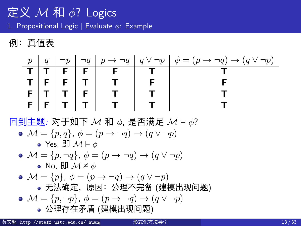1. Propositional Logic *|* Evaluate *ϕ*: Example

例:真值表

 $p \mid q \mid \neg p \mid \neg q \mid p \rightarrow \neg q \mid q \vee \neg p \mid \phi = (p \rightarrow \neg q) \rightarrow (q \vee \neg p)$ **T T F F F T T T F F T T F F**  $\mathbf{F} \mid \mathbf{T} \mid \mathbf{T} \mid \mathbf{F} \mid \mathbf{T} \mid \mathbf{T} \mid \mathbf{T}$ **F F T T T T T** 回到主题*:* 对于如下 *M* 和 *ϕ*, 是否满足 *M* ⊨ *ϕ*? •  $\mathcal{M} = \{p, q\}, \ \phi = (p \rightarrow \neg q) \rightarrow (q \lor \neg p)$ Yes, 即 *M* ⊨ *ϕ* •  $\mathcal{M} = \{p, \neg q\}, \ \phi = (p \rightarrow \neg q) \rightarrow (q \lor \neg p)$ No, 即 *M* ⊭ *ϕ* •  $\mathcal{M} = \{p\}, \ \phi = (p \rightarrow \neg q) \rightarrow (q \lor \neg p)$ 无法确定,原因:公理不完备 (建模出现问题) •  $\mathcal{M} = \{p, \neg p\}, \ \phi = (p \rightarrow \neg q) \rightarrow (q \lor \neg p)$ 公理存在矛盾 (建模出现问题) 黄文超 http://staff.ustc.edu.cn/~huangwc/fm.html 形式化方法导引 13 / 33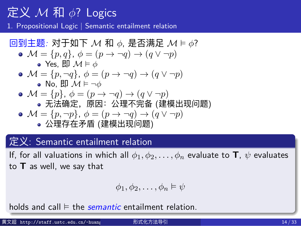1. Propositional Logic *|* Semantic entailment relation

$$
\boxed{\text{②. } \text{②} \pm \text{. } \text{②: } \text{②} \pm \text{. } \text{②: } \text{②} \pm \text{. } \text{②: } \text{②: } \text{②: } \text{④: } \text{④: } \text{④: } \text{④: } \text{④: } \text{④: } \text{④: } \text{④: } \text{④: } \text{④: } \text{④: } \text{③: } \text{③: } \text{③: } \text{③: } \text{③: } \text{③: } \text{③: } \text{③: } \text{③: } \text{③: } \text{③: } \text{③: } \text{③: } \text{③: } \text{③: } \text{③: } \text{③: } \text{③: } \text{③: } \text{③: } \text{③: } \text{③: } \text{③: } \text{③: } \text{③: } \text{③: } \text{③: } \text{③: } \text{③: } \text{③: } \text{③: } \text{③: } \text{③: } \text{③: } \text{③: } \text{③: } \text{③: } \text{③: } \text{③: } \text{③: } \text{③: } \text{③: } \text{③: } \text{③: } \text{③: } \text{③: } \text{③: } \text{③: } \text{③: } \text{③: } \text{③: } \text{③: } \text{③: } \text{③: } \text{③: } \text{③: } \text{③: } \text{③: } \text{③: } \text{③: } \text{③: } \text{③: } \text{③: } \text{③: } \text{③: } \text{③: } \text{③: } \text{③: } \text{③: } \text{③: } \text{③: } \text{③: } \text{③: } \text{③: } \text{③: } \text{③: } \text{③: } \text{③: } \text{③: } \text{③: } \text{③: } \text{③: } \text{③: } \text{③: } \text{③: } \text{
$$

$$
\bullet \text{ Yes, } \mathbb{E} \mathcal{M} \models \phi
$$

\n- $$
\mathcal{M} = \{p, \neg q\}, \phi = (p \rightarrow \neg q) \rightarrow (q \lor \neg p)
$$
\n- No,  $\Box \mathbb{D} \mathcal{M} \models \neg \phi$
\n

\n- $$
\mathcal{M} = \{p\}, \ \phi = (p \rightarrow \neg q) \rightarrow (q \lor \neg p)
$$
\n- $\bullet$  \n  $\bullet$  \n  $\bullet$  \n  $\bullet$  \n  $\bullet$  \n  $\bullet$  \n  $\bullet$  \n  $\bullet$  \n  $\bullet$  \n  $\bullet$  \n  $\bullet$  \n  $\bullet$  \n  $\bullet$  \n  $\bullet$  \n  $\bullet$  \n  $\bullet$  \n  $\bullet$  \n  $\bullet$  \n  $\bullet$  \n  $\bullet$  \n  $\bullet$  \n  $\bullet$  \n  $\bullet$  \n  $\bullet$  \n  $\bullet$  \n  $\bullet$  \n  $\bullet$  \n  $\bullet$  \n  $\bullet$  \n  $\bullet$  \n  $\bullet$  \n  $\bullet$  \n  $\bullet$  \n  $\bullet$  \n  $\bullet$  \n  $\bullet$  \n  $\bullet$  \n  $\bullet$  \n  $\bullet$  \n  $\bullet$  \n  $\bullet$  \n  $\bullet$  \n  $\bullet$  \n  $\bullet$  \n  $\bullet$  \n  $\bullet$  \n  $\bullet$  \n  $\bullet$  \n  $\bullet$  \n  $\bullet$  \n  $\bullet$  \n

\n- $$
\mathcal{M} = \{p, \neg p\}, \ \phi = (p \rightarrow \neg q) \rightarrow (q \lor \neg p)
$$
\n- 公理存在予۔ (建模式出現)
\n

#### 定义: Semantic entailment relation

If, for all valuations in which all  $\phi_1, \phi_2, \ldots, \phi_n$  evaluate to **T**,  $\psi$  evaluates to **T** as well, we say that

$$
\phi_1, \phi_2, \ldots, \phi_n \models \psi
$$

holds and call  $\models$  the *semantic* entailment relation.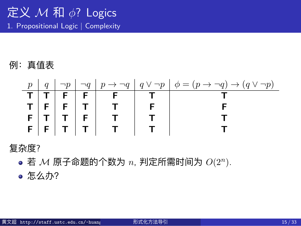#### 定义 *M* 和 *ϕ*? Logics 1. Propositional Logic *|* Complexity

例:真值表

|  |  |                           | $p   q   \neg p   \neg q   p \rightarrow \neg q   q \vee \neg p   \phi = (p \rightarrow \neg q) \rightarrow (q \vee \neg p)$ |
|--|--|---------------------------|------------------------------------------------------------------------------------------------------------------------------|
|  |  | $T$ $T$ $F$ $F$ $F$ $F$   |                                                                                                                              |
|  |  | $T   F   F   T   T   T  $ |                                                                                                                              |
|  |  | F[T T F T                 |                                                                                                                              |
|  |  | F F T T T                 |                                                                                                                              |

#### 复杂度?

若 *M* 原子命题的个数为 *n*, 判定所需时间为 *O*(2*<sup>n</sup>* ).

怎么办?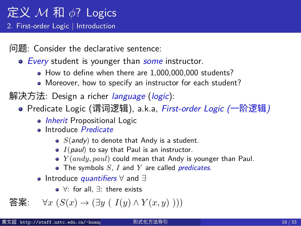2. First-order Logic *|* Introduction

问题: Consider the declarative sentence:

- *Every* student is younger than *some* instructor.
	- How to define when there are 1,000,000,000 students?
	- Moreover, how to specify an instructor for each student?
- 解决方法: Design a richer *language* (*logic*):
	- Predicate Logic (谓词逻辑), a.k.a, *First-order Logic (*一阶逻辑*)*
		- *Inherit* Propositional Logic
		- Introduce *Predicate*
			- *S(andy)* to denote that Andy is a student.
			- *I*(*paul*) to say that Paul is an instructor.
			- *Y* (*andy, paul*) could mean that Andy is younger than Paul.
			- The symbols *S*, *I* and *Y* are called *predicates*.
		- Introduce *quantifiers ∀* and *∃*
			- *∀*: for all, *∃*: there exists

答案: *∀x* (*S*(*x*) *→* (*∃y* ( *I*(*y*) *∧ Y* (*x, y*) )))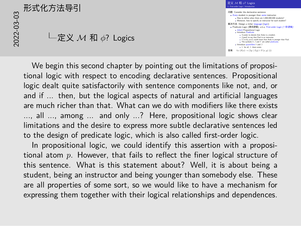# 2022-03-03形式化方法导引

定义 *M* 和 *ϕ*? Logics

定义 *<sup>M</sup>* <sup>和</sup> *<sup>ϕ</sup>*? Logics 定义 M 和 φ? Logics<br>2. First-order Logic | Introduction : Precession Lagic | introduction<br>  $\mathbf{B}(\mathbf{B})$  | Consider the declinative sentence:<br>
• Every student is younger than some instructor.<br>
• New to define when then set 1,000,000,000 nuclears?<br>
• Mercesser, how to specify **Inheritation and Contract Contract Contract Contract Contract Contract Contract Contract Contract Contract Contract Contract Contract Contract Contract Contract Contract Contract Contract Contract Contract Contract Contr** Introduce *Predicate*  $S($ s S(andy) to denote that Andy is a s<br>  $I($  pass  $\uparrow$  to say that Paul is an instr Introduce *quantifiers ∀* and *∃ Y: for all, 2*: and *∃*<br>duce <mark>quantifiers</mark> ∀ and ∃<br>∀: for all, ∃: there exists  $\bullet$  Introduce quantitiers  $\forall$  and  $\exists$ <br>  $\forall$ *x* (*S*(*x*) → ( $\exists y$  (*I*(*y*)  $\land$  *Y*(*x*, *y*) )))

We begin this second chapter by pointing out the limitations of propositional logic with respect to encoding declarative sentences. Propositional logic dealt quite satisfactorily with sentence components like not, and, or and if ... then, but the logical aspects of natural and artificial languages are much richer than that. What can we do with modifiers like there exists ..., all ..., among ... and only ...? Here, propositional logic shows clear limitations and the desire to express more subtle declarative sentences led to the design of predicate logic, which is also called first-order logic.

In propositional logic, we could identify this assertion with a propositional atom *p*. However, that fails to reflect the finer logical structure of this sentence. What is this statement about? Well, it is about being a student, being an instructor and being younger than somebody else. These are all properties of some sort, so we would like to have a mechanism for expressing them together with their logical relationships and dependences.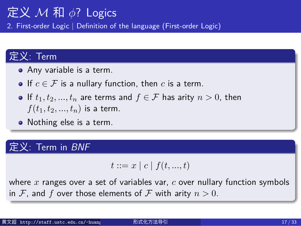2. First-order Logic *|* Definition of the language (First-order Logic)

#### 定义: Term

- Any variable is a term.
- If  $c \in \mathcal{F}$  is a nullary function, then *c* is a term.
- $\bullet$  If  $t_1, t_2, ..., t_n$  are terms and  $f \in \mathcal{F}$  has arity  $n > 0$ , then  $f(t_1, t_2, ..., t_n)$  is a term.
- Nothing else is a term.

#### 定义: Term in *BNF*

 $t := x | c | f(t, ..., t)$ 

where *x* ranges over a set of variables var, *c* over nullary function symbols in *F*, and *f* over those elements of *F* with arity  $n > 0$ .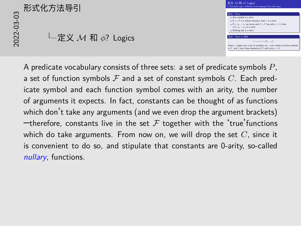# in *F*, and *f* over the **f** over the **F**, and *f* and *f* and *f* and *f* and *f* and *f* and *f* and *f* and *f* and *f* and *f* and *f* and *f* and *f* and *f* and *f* and *f* and *f* and *f* and *f* and *f* and *f* 定义 *M* 和 *ϕ*? Logics



A predicate vocabulary consists of three sets: a set of predicate symbols *P*, a set of function symbols *F* and a set of constant symbols *C*. Each predicate symbol and each function symbol comes with an arity, the number of arguments it expects. In fact, constants can be thought of as functions which don't take any arguments (and we even drop the argument brackets)  $-$ therefore, constants live in the set  $F$  together with the 'true' functions which do take arguments. From now on, we will drop the set *C*, since it is convenient to do so, and stipulate that constants are 0-arity, so-called *nullary*, functions.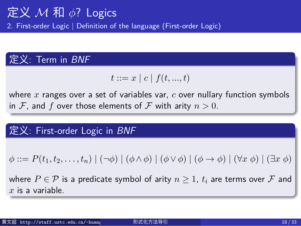2. First-order Logic *|* Definition of the language (First-order Logic)

#### 定义: Term in *BNF*

 $t := x | c | f(t, ..., t)$ 

where *x* ranges over a set of variables var, *c* over nullary function symbols in  $\mathcal F$ , and  $f$  over those elements of  $\mathcal F$  with arity  $n>0$ .

定义: First-order Logic in *BNF*

 $\phi ::= P(t_1, t_2, \ldots, t_n) | (\neg \phi) | (\phi \land \phi) | (\phi \lor \phi) | (\phi \to \phi) | (\forall x \phi) | (\exists x \phi)$ 

where  $P \in \mathcal{P}$  is a predicate symbol of arity  $n \geq 1$ ,  $t_i$  are terms over  $\mathcal F$  and *x* is a variable.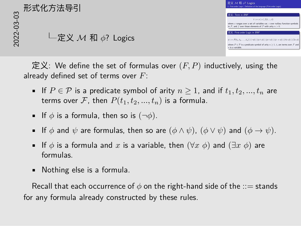#### 形式化方法导引

定义 *M* 和 *ϕ*? Logics



定义: We define the set of formulas over  $(F, P)$  inductively, using the already defined set of terms over *F*:

- If  $P \in \mathcal{P}$  is a predicate symbol of arity  $n \geq 1$ , and if  $t_1, t_2, ..., t_n$  are terms over  $F$ , then  $P(t_1, t_2, ..., t_n)$  is a formula.
- If  $\phi$  is a formula, then so is  $(\neg \phi)$ .
- If *ϕ* and *ψ* are formulas, then so are (*ϕ ∧ ψ*), (*ϕ ∨ ψ*) and (*ϕ → ψ*).
- If *ϕ* is a formula and *x* is a variable, then (*∀x ϕ*) and (*∃x ϕ*) are formulas.
- Nothing else is a formula.

Recall that each occurrence of  $\phi$  on the right-hand side of the  $\phi$  stands for any formula already constructed by these rules.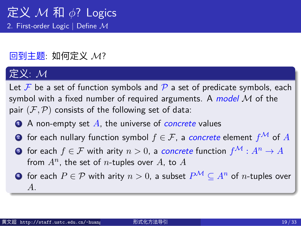#### 定义 *M* 和 *ϕ*? Logics 2. First-order Logic *|* Define *M*

#### 回到主题: 如何定义 *M*?

#### 定义: *M*

Let  $F$  be a set of function symbols and  $P$  a set of predicate symbols, each symbol with a fixed number of required arguments. A *model M* of the pair  $(F, P)$  consists of the following set of data: <sup>1</sup> A non-empty set *A*, the universe of *concrete* values <sup>2</sup> for each nullary function symbol *f ∈ F*, a *concrete* element *f<sup>M</sup>* of *A*

- **3** for each  $f \in \mathcal{F}$  with arity  $n > 0$ , a *concrete* function  $f^{\mathcal{M}} : A^n \to A$ from  $A^n$ , the set of *n*-tuples over  $A$ , to  $A$
- $\bullet$  for each *P* ∈ *P* with arity *n* > 0, a subset  $P^{\mathcal{M}} \subseteq A^n$  of *n*-tuples over *A*.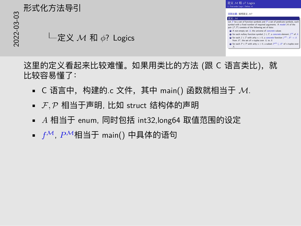#### 形式化方法导引

定义 *M* 和 *ϕ*? Logics



这里的定义看起来比较难懂。如果用类比的方法 (跟 C 语言类比), 就 比较容易懂了:

- C 语言中,构建的.c 文件,其中 main() 函数就相当于 *M*.
- *F,P* 相当于声明, 比如 struct 结构体的声明
- *A* 相当于 enum, 同时包括 int32,long64 取值范围的设定
- *fM*, *PM*相当于 main() 中具体的语句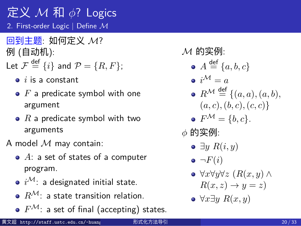#### 定义 *M* 和 *ϕ*? Logics 2. First-order Logic *|* Define *M*

回到主题: 如何定义 *M*? 例 (自动机):

- Let  $\mathcal{F} \stackrel{\mathsf{def}}{=} \{i\}$  and  $\mathcal{P} = \{R, F\};$ 
	- *i* is a constant
	- *F* a predicate symbol with one argument
	- *R* a predicate symbol with two arguments

A model *M* may contain:

- *A*: a set of states of a computer program.
- *iM*: a designated initial state.
- *RM*: a state transition relation.
- $F^{\mathcal{M}}$ : a set of final (accepting) states.

*M* 的实例:

- $A \stackrel{\text{def}}{=} \{a, b, c\}$
- $\bullet i^{\mathcal{M}}=a$
- $R^{\mathcal{M}} \stackrel{\text{def}}{=} \{(a, a), (a, b),\$  $(a, c), (b, c), (c, c)$
- $F^{\mathcal{M}} = \{b, c\}.$
- *ϕ* 的实例:
	- *∃y R*(*i, y*)
	- $\bullet$   $\neg F(i)$
	- *∀x∀y∀z* (*R*(*x, y*) *∧*  $R(x, z) \rightarrow y = z$
	- *∀x∃y R*(*x, y*)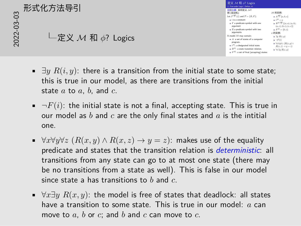# *<sup>∀</sup>x∀y∀<sup>z</sup>* (*R*(*x, y*) *<sup>∧</sup> <sup>R</sup>*(*x, z*) *<sup>→</sup> <sup>y</sup>* <sup>=</sup> *<sup>z</sup>*)*∀x∃y R*(*x, y*) 2022-03-03形式化方法导引

定义 *M* 和 *ϕ*? Logics

| 定义 M 和 o? Logics<br>2. First-order Logic   Define M                                                                                                                                                                                                                                                                                                                                                                                                                                                                  |                                                                                                                                                                                                                                                                                                                                                                                          |
|----------------------------------------------------------------------------------------------------------------------------------------------------------------------------------------------------------------------------------------------------------------------------------------------------------------------------------------------------------------------------------------------------------------------------------------------------------------------------------------------------------------------|------------------------------------------------------------------------------------------------------------------------------------------------------------------------------------------------------------------------------------------------------------------------------------------------------------------------------------------------------------------------------------------|
| 日到丰颢: 如何定义 .M7<br>例(自动机):<br>Let $\mathcal{F} \stackrel{\text{def}}{=} \{i\}$ and $\mathcal{P} = \{R, F\}$ :<br>$\bullet$ $i$ is a constant<br>$\bullet$ $F$ a predicate symbol with one<br>argument<br>$\bullet$ $R$ a predicate symbol with two<br>arguments<br>A model M may contain:<br>A: a set of states of a computer<br>program.<br>$\bullet$ $i^{\mathcal{M}}$ : a designated initial state.<br>$\bullet$ $R^M$ : a state transition relation.<br>$\triangleright F^M$ : a set of final (accepting) states. | M 的实例:<br>$\mathbf{a}$ $A \stackrel{\text{def}}{=} \{a, b, c\}$<br>$\mathbf{v}^{(M)} = \mathbf{v}$<br>$R^M \stackrel{\text{def}}{=} \{(a, a), (a, b),$<br>(a, c), (b, c), (c, c)<br>$\bullet$ $F^{\mathcal{M}} = \{b, c\}.$<br>o 的实例:<br>$\triangle$ $\exists v \ R(i, w)$<br>$- F(i)$<br>$\Delta$ VxVuVz ( $R(x, y)$ $\wedge$<br>$R(x, z) \rightarrow y = z$<br>$\bullet$ VxHy $R(x,y)$ |

- *∃y R*(*i, y*): there is a transition from the initial state to some state; this is true in our model, as there are transitions from the initial state *a* to *a*, *b*, and *c*.
- $\neg F(i)$ : the initial state is not a final, accepting state. This is true in our model as *b* and *c* are the only final states and *a* is the intitial one.
- $\forall x \forall y \forall z \ (R(x, y) \land R(x, z) \rightarrow y = z)$ : makes use of the equality predicate and states that the transition relation is *deterministic*: all transitions from any state can go to at most one state (there may be no transitions from a state as well). This is false in our model since state a has transitions to *b* and *c*.
- *∀x∃y R*(*x, y*): the model is free of states that deadlock: all states have a transition to some state. This is true in our model: *a* can move to *a*, *b* or *c*; and *b* and *c* can move to *c*.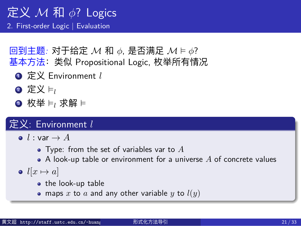2. First-order Logic *|* Evaluation

回到主题*:* 对于给定 *M* 和 *ϕ*, 是否满足 *M* ⊨ *ϕ*? 基本方法:类似 Propositional Logic, 枚举所有情况

- <sup>1</sup> 定义 Environment *l*
- **2** 定义 ⊨<sub>*l*</sub>
- **3** 枚举 ⊨<sub>l</sub> 求解 ⊨

#### 定义: Environment *l*

- $\bullet$  *l* : var  $\rightarrow$  *A* 
	- Type: from the set of variables var to *A*
	- A look-up table or environment for a universe *A* of concrete values
- $l[x \mapsto a]$ 
	- the look-up table
	- maps *x* to *a* and any other variable *y* to *l*(*y*)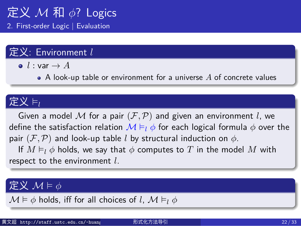2. First-order Logic *|* Evaluation

#### 定义: Environment *l*

 $\bullet$  *l* : var  $\rightarrow$  *A* 

A look-up table or environment for a universe *A* of concrete values

#### 定义 ⊨*<sup>l</sup>*

Given a model  $M$  for a pair  $(F, P)$  and given an environment  $l$ , we define the satisfaction relation  $M \vDash_l \phi$  for each logical formula  $\phi$  over the pair  $(F, P)$  and look-up table *l* by structural induction on  $\phi$ .

If  $M \vDash_l \phi$  holds, we say that  $\phi$  computes to  $T$  in the model  $M$  with respect to the environment *l*.

#### 定义 *M* ⊨ *ϕ*

 $M \vDash \phi$  holds, iff for all choices of *l*,  $M \vDash_l \phi$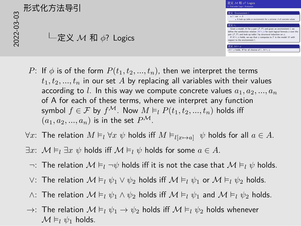# 20<br>20<br>202<br>2020<br>2020<br>2020

#### 定义 *M* 和 *ϕ*? Logics

|     | 定义 M 和 o? Logics<br>2. First-order Logic   Evaluation                                                                                              |
|-----|----------------------------------------------------------------------------------------------------------------------------------------------------|
|     | 定义: Environment /                                                                                                                                  |
|     | $\bullet$ <i>l</i> : var $\rightarrow$ <i>A</i>                                                                                                    |
|     | + A look-up table or environment for a universe A of concrete values.                                                                              |
| 定义片 |                                                                                                                                                    |
|     | Given a model M for a pair (F, P) and given an environment I, we                                                                                   |
|     | define the satisfaction relation M Fi & for each logical formula & over the<br>pair (F, P) and look-up table I by structural induction on $\phi$ . |
|     | If $M \vDash_l \phi$ holds, we say that $\phi$ computes to $T$ in the model $M$ with<br>respect to the environment I.                              |
|     |                                                                                                                                                    |

- *P*: If  $\phi$  is of the form  $P(t_1, t_2, ..., t_n)$ , then we interpret the terms  $t_1, t_2, \ldots, t_n$  in our set *A* by replacing all variables with their values according to  $l$ . In this way we compute concrete values  $a_1, a_2, ..., a_n$ of A for each of these terms, where we interpret any function symbol  $f \in \mathcal{F}$  by  $f^{\mathcal{M}}$ . Now  $M \models_l P(t_1, t_2, ..., t_n)$  holds iff  $(a_1, a_2, ..., a_n)$  is in the set  $P^{\mathcal{M}}$ .
- *∀x*: The relation  $M \models_l \forall x \psi$  holds iff  $M \models_{l[x \mapsto a]} \psi$  holds for all  $a \in A$ .
- *∃x*:  $M \models_l \exists x \psi$  holds iff  $M \models_l \psi$  holds for some *a* ∈ *A*.
- *¬*: The relation *M* ⊨*<sup>l</sup> ¬ψ* holds iff it is not the case that *M* ⊨*<sup>l</sup> ψ* holds.
- *∨*: The relation *M* ⊨*<sup>l</sup> ψ*<sup>1</sup> *∨ ψ*<sup>2</sup> holds iff *M* ⊨*<sup>l</sup> ψ*<sup>1</sup> or *M* ⊨*<sup>l</sup> ψ*<sup>2</sup> holds.
- *∧*: The relation  $M \models_l \psi_1 \land \psi_2$  holds iff  $M \models_l \psi_1$  and  $M \models_l \psi_2$  holds.
- $→$ : The relation  $M \vDash_l \psi_1 \to \psi_2$  holds iff  $M \vDash_l \psi_2$  holds whenever  $M \vDash_l \psi_1$  holds.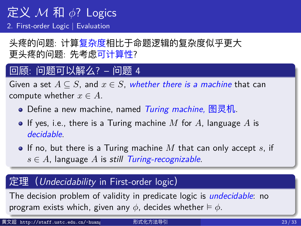#### 定义 *M* 和 *ϕ*? Logics 2. First-order Logic *|* Evaluation

头疼的问题: 计算复杂度相比于命题逻辑的复杂度似乎更大 更头疼的问题: 先考虑可计算性?

#### 回顾: 问题可以解么? – 问题 4

Given a set  $A \subseteq S$ , and  $x \in S$ , whether there is a machine that can compute whether  $x \in A$ . Define a new machine, named *Turing machine,* 图灵机. If yes, i.e., there is a Turing machine *M* for *A*, language *A* is *decidable*. If no, but there is a Turing machine *M* that can only accept *s*, if *s ∈ A*, language *A* is *still Turing-recognizable*. 定理(*Undecidability* in First-order logic) The decision problem of validity in predicate logic is *undecidable*: no

program exists which, given any *ϕ*, decides whether ⊨ *ϕ*.

| 黄文超 http://staff.ustc.edu.cn/~huang | 形式化方法导引 | 23/33 |
|-------------------------------------|---------|-------|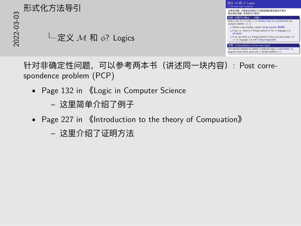

针对非确定性问题,可以参考两本书(讲述同一块内容): Post correspondence problem (PCP)

- Page 132 in 《Logic in Computer Science
	- 这里简单介绍了例子
- Page 227 in 《Introduction to the theory of Compuation》
	- 这里介绍了证明方法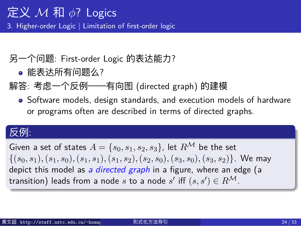3. Higher-order Logic | Limitation of first-order logic

- 另一个问题: First-order Logic 的表达能力?
	- 能表达所有问题么?
- 解答: 考虑一个反例——有向图 (directed graph) 的建模
	- Software models, design standards, and execution models of hardware or programs often are described in terms of directed graphs.

#### 反例:

Given a set of states  $A = \{s_0, s_1, s_2, s_3\}$ , let  $R^{\mathcal{M}}$  be the set  $\{(s_0,s_1),(s_1,s_0),(s_1,s_1),(s_1,s_2),(s_2,s_0),(s_3,s_0),(s_3,s_2)\}.$  We may depict this model as *a directed graph* in a figure, where an edge (a  $\mathsf{transition)}$  leads from a node  $s$  to a node  $s'$  iff  $(s, s') \in R^\mathcal{M}.$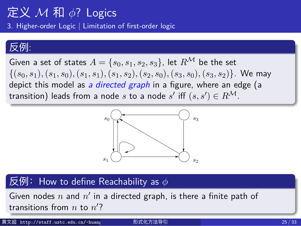3. Higher-order Logic | Limitation of first-order logic

#### 反例:

Given a set of states  $A = \{s_0, s_1, s_2, s_3\}$ , let  $R^{\mathcal{M}}$  be the set  $\{(s_0,s_1),(s_1,s_0),(s_1,s_1),(s_1,s_2),(s_2,s_0),(s_3,s_0),(s_3,s_2)\}.$  We may depict this model as *a directed graph* in a figure, where an edge (a transition) leads from a node  $s$  to a node  $s'$  iff  $(s, s') \in R^\mathcal{M}.$ 



#### **Figure 2.5.** A directed graph, which is a model *M* for a predicate sym-bol *R* with two arguments. A pair of nodes (*n, n*! 反例: How to define Reachability as *ϕ* \_\_\_\_\_\_\_\_\_\_\_\_\_\_\_\_

Given nodes  $n$  and  $n'$  in a directed graph, is there a finite path of  $R_{\rm B}$  and  $R_{\rm B}$  and  $R_{\rm B}$  and  $R_{\rm B}$  is the and  $R_{\rm B}$  is the affine a finite a finite a finite and  $R_{\rm B}$ transitions from  $n$  to  $n'$ ?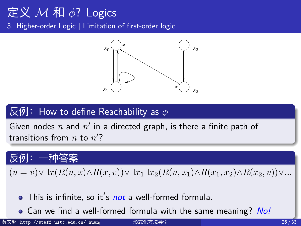3. Higher-order Logic | Limitation of first-order logic 1378 Participate 1378 Par



#### **Figure 2.5.** A directed graph, which is a model *M* for a predicate sym-bol *R* with two arguments. A pair of nodes (*n, n*! 反例: How to define Reachability as *ϕ* \_\_\_\_\_\_\_\_\_\_\_\_\_\_\_\_

Given nodes  $n$  and  $n'$  in a directed graph, is there a finite path of  $\frac{1}{2}$  transitions from *n* to *n*<sup>2</sup>?

?

#### path of transitions from *n* to *n*! 反例:一种答案

 $\sum_{i=1}^{\infty} \frac{D(a_i, a_i)}{D(a_i, a_i)}$  $(u = v) \forall \exists x (R(u, x) \land R(x, v)) \forall \exists x_1 \exists x_2 (R(u, x_1) \land R(x_1, x_2) \land R(x_2, v)) \forall ...$ 

- $\alpha$  is infinite so it's not a well-formed formula This is infinite, so it's *not* a well-formed formula.
- Can we find a well-formed formula with the same meaning? *No!*
- 黄文超 http://staff.ustc.edu.cn/~huang 形式化方法导引 26 / 33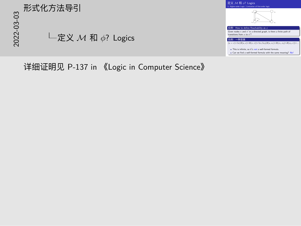# 20<br>2022<br>2022-02<br>- 2022<br>- 2022<br>- 2022 定义 *M* 和 *ϕ*? Logics



详细证明见 P-137 in 《Logic in Computer Science》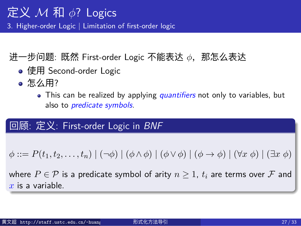3. Higher-order Logic | Limitation of first-order logic

- 进一步问题: 既然 First-order Logic 不能表达 *ϕ*,那怎么表达
	- 使用 Second-order Logic
	- 怎么用?
		- This can be realized by applying *quantifiers* not only to variables, but also to *predicate symbols*.

#### 回顾: 定义: First-order Logic in *BNF*

 $\phi ::= P(t_1, t_2, \ldots, t_n) | (\neg \phi) | (\phi \land \phi) | (\phi \lor \phi) | (\phi \rightarrow \phi) | (\forall x \phi) | (\exists x \phi)$ 

where  $P \in \mathcal{P}$  is a predicate symbol of arity  $n \geq 1$ ,  $t_i$  are terms over  $\mathcal F$  and *x* is a variable.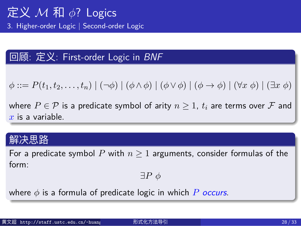3. Higher-order Logic | Second-order Logic

#### 回顾: 定义: First-order Logic in *BNF*

 $\phi ::= P(t_1, t_2, \ldots, t_n) | (\neg \phi) | (\phi \land \phi) | (\phi \lor \phi) | (\phi \to \phi) | (\forall x \phi) | (\exists x \phi)$ 

where  $P \in \mathcal{P}$  is a predicate symbol of arity  $n \geq 1$ ,  $t_i$  are terms over  $\mathcal F$  and *x* is a variable.

#### 解决思路

For a predicate symbol  $P$  with  $n \geq 1$  arguments, consider formulas of the form:

*∃P ϕ*

where *ϕ* is a formula of predicate logic in which *P occurs*.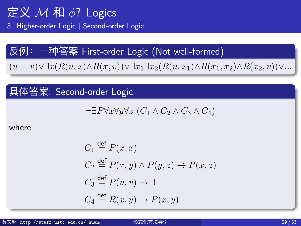3. Higher-order Logic | Second-order Logic

反例: - 神答え� 紟 irst-order Logic (Not well-formed)  
\n
$$
(u = v) \lor \exists x (R(u, x) \land R(x, v)) \lor \exists x_1 \exists x_2 (R(u, x_1) \land R(x_1, x_2) \land R(x_2, v)) \lor \dots
$$

具体答案: Second-order Logic

$$
\neg \exists P \forall x \forall y \forall z (C_1 \land C_2 \land C_3 \land C_4)
$$

where

$$
C_1 \stackrel{\text{def}}{=} P(x, x)
$$
  
\n
$$
C_2 \stackrel{\text{def}}{=} P(x, y) \land P(y, z) \to P(x, z)
$$
  
\n
$$
C_3 \stackrel{\text{def}}{=} P(u, v) \to \bot
$$
  
\n
$$
C_4 \stackrel{\text{def}}{=} R(x, y) \to P(x, y)
$$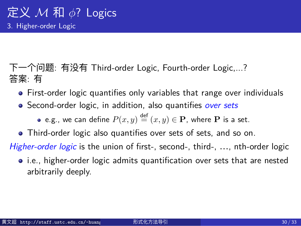#### 定义 *M* 和 *ϕ*? Logics 3. Higher-order Logic

下一个问题: 有没有 Third-order Logic, Fourth-order Logic,...? 答案: 有

- First-order logic quantifies only variables that range over individuals
- Second-order logic, in addition, also quantifies *over sets*
	- e.g., we can define  $P(x,y) \stackrel{\mathsf{def}}{=} (x,y) \in \mathbf{P}$ , where  $\mathbf P$  is a set.
- Third-order logic also quantifies over sets of sets, and so on.

*Higher-order logic* is the union of first-, second-, third-, …, nth-order logic

• i.e., higher-order logic admits quantification over sets that are nested arbitrarily deeply.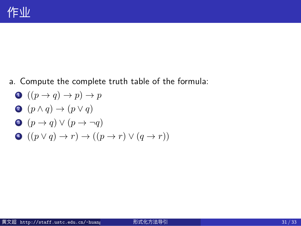#### 作业

- a. Compute the complete truth table of the formula:
- $\bigcirc$   $((p \rightarrow q) \rightarrow p) \rightarrow p$
- 2  $(p \land q) \rightarrow (p \lor q)$
- $\bullet$   $(p \rightarrow q) \vee (p \rightarrow \neg q)$
- $\bullet$   $((p \lor q) \to r) \to ((p \to r) \lor (q \to r))$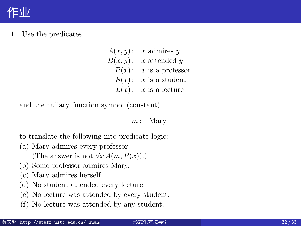#### 作业

 $1. \;$  Use the predicates

Exercises 2.1

$$
A(x, y): x \text{ admires } y
$$
  
\n
$$
B(x, y): x \text{ attended } y
$$
  
\n
$$
P(x): x \text{ is a professor}
$$
  
\n
$$
S(x): x \text{ is a student}
$$
  
\n
$$
L(x): x \text{ is a lecture}
$$

2.8 Exercises 157 Exercises 157 Exercises 157 Exercises 157 Exercises 157 Exercises

and the nullary function symbol (constant)

*m* : Mary

to translate the following into predicate logic:

- (a) Mary admires every professor. (The answer is not  $\forall x A(m, P(x))$ .)
- (b) Some professor admires Mary.
- (c) Mary admires herself.
- (d) No student attended every lecture.
- (e) No lecture was attended by every student.
- (f) No lecture was attended by any student.